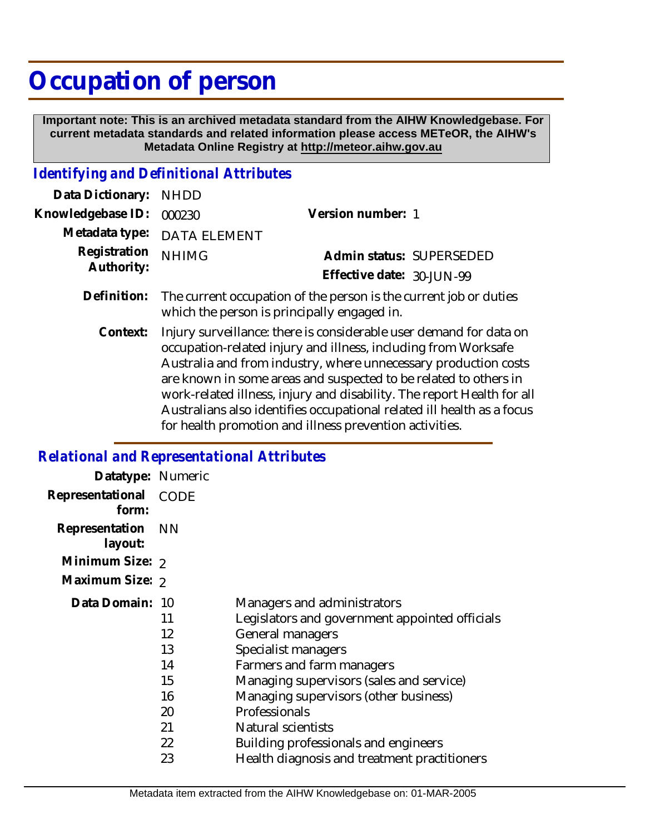# **Occupation of person**

 **Important note: This is an archived metadata standard from the AIHW Knowledgebase. For current metadata standards and related information please access METeOR, the AIHW's Metadata Online Registry at http://meteor.aihw.gov.au**

## *Identifying and Definitional Attributes*

| Data Dictionary: NHDD            |                                                                               |                           |                          |
|----------------------------------|-------------------------------------------------------------------------------|---------------------------|--------------------------|
| Knowledgebase ID: 000230         |                                                                               | Version number: 1         |                          |
|                                  | Metadata type: DATA ELEMENT                                                   |                           |                          |
| Registration NHIMG<br>Authority: |                                                                               |                           | Admin status: SUPERSEDED |
|                                  |                                                                               | Effective date: 30-JUN-99 |                          |
|                                  | Definition: The current occupation of the person is the current job or duties |                           |                          |

which the person is principally engaged in.

Injury surveillance: there is considerable user demand for data on occupation-related injury and illness, including from Worksafe Australia and from industry, where unnecessary production costs are known in some areas and suspected to be related to others in work-related illness, injury and disability. The report Health for all Australians also identifies occupational related ill health as a focus for health promotion and illness prevention activities. **Context:**

#### *Relational and Representational Attributes*

| Datatype: Numeric            |                                                          |                                                                                                                                                                                                                                                                                                                                                                                  |
|------------------------------|----------------------------------------------------------|----------------------------------------------------------------------------------------------------------------------------------------------------------------------------------------------------------------------------------------------------------------------------------------------------------------------------------------------------------------------------------|
| Representational<br>form:    | <b>CODE</b>                                              |                                                                                                                                                                                                                                                                                                                                                                                  |
| Representation NN<br>layout: |                                                          |                                                                                                                                                                                                                                                                                                                                                                                  |
| Minimum Size: 2              |                                                          |                                                                                                                                                                                                                                                                                                                                                                                  |
| Maximum Size: 2              |                                                          |                                                                                                                                                                                                                                                                                                                                                                                  |
| Data Domain: 10              | 11<br>12<br>13<br>14<br>15<br>16<br>20<br>21<br>22<br>23 | Managers and administrators<br>Legislators and government appointed officials<br>General managers<br>Specialist managers<br>Farmers and farm managers<br>Managing supervisors (sales and service)<br>Managing supervisors (other business)<br>Professionals<br><b>Natural scientists</b><br>Building professionals and engineers<br>Health diagnosis and treatment practitioners |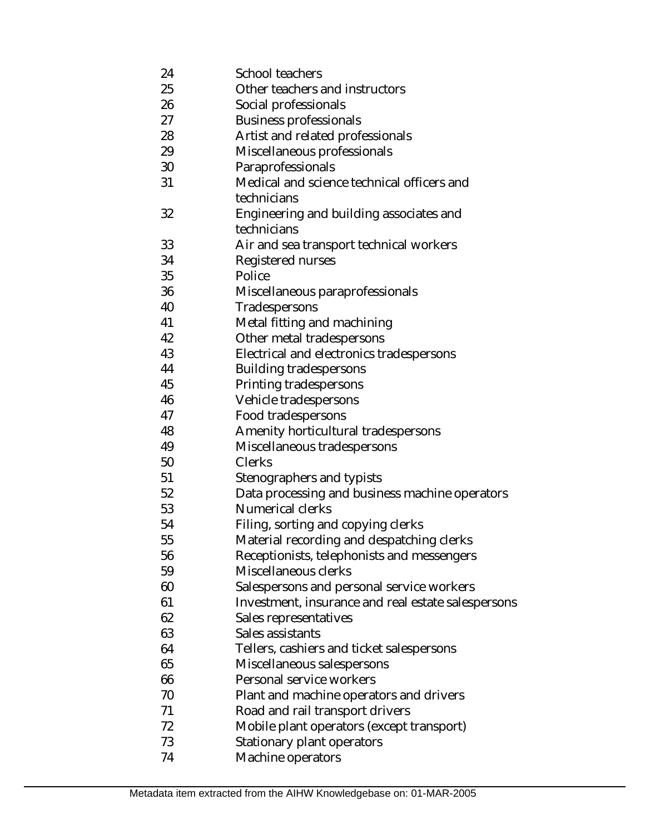24 25 26 27 28 29 30 31 32 33 34 35 36 40 41 42 43 44 45 46 47 48 49 50 51 52 53 54 55 56 59 60 61 62 63 64 65 66 70 71 72 73 74 School teachers Other teachers and instructors Social professionals Business professionals Artist and related professionals Miscellaneous professionals Paraprofessionals Medical and science technical officers and technicians Engineering and building associates and technicians Air and sea transport technical workers Registered nurses **Police** Miscellaneous paraprofessionals Tradespersons Metal fitting and machining Other metal tradespersons Electrical and electronics tradespersons Building tradespersons Printing tradespersons Vehicle tradespersons Food tradespersons Amenity horticultural tradespersons Miscellaneous tradespersons **Clerks** Stenographers and typists Data processing and business machine operators Numerical clerks Filing, sorting and copying clerks Material recording and despatching clerks Receptionists, telephonists and messengers Miscellaneous clerks Salespersons and personal service workers Investment, insurance and real estate salespersons Sales representatives Sales assistants Tellers, cashiers and ticket salespersons Miscellaneous salespersons Personal service workers Plant and machine operators and drivers Road and rail transport drivers Mobile plant operators (except transport) Stationary plant operators Machine operators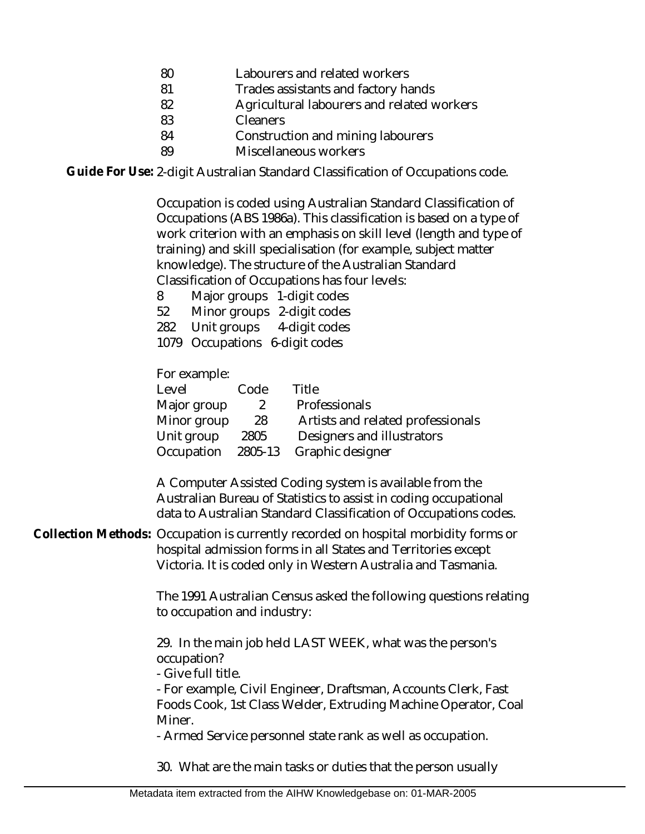- 80 Labourers and related workers
- 81 Trades assistants and factory hands
- 82 Agricultural labourers and related workers
- 83 Cleaners
- 84 Construction and mining labourers
- 89 Miscellaneous workers

Guide For Use: 2-digit Australian Standard Classification of Occupations code.

Occupation is coded using Australian Standard Classification of Occupations (ABS 1986a). This classification is based on a type of work criterion with an emphasis on skill level (length and type of training) and skill specialisation (for example, subject matter knowledge). The structure of the Australian Standard Classification of Occupations has four levels:

8 Major groups 1-digit codes

52 Minor groups 2-digit codes

282 Unit groups 4-digit codes

1079 Occupations 6-digit codes

For example:

| Level       | Code    | Title                             |
|-------------|---------|-----------------------------------|
| Major group | 2       | Professionals                     |
| Minor group | 28      | Artists and related professionals |
| Unit group  | 2805    | Designers and illustrators        |
| Occupation  | 2805-13 | Graphic designer                  |

A Computer Assisted Coding system is available from the Australian Bureau of Statistics to assist in coding occupational data to Australian Standard Classification of Occupations codes.

Collection Methods: Occupation is currently recorded on hospital morbidity forms or hospital admission forms in all States and Territories except Victoria. It is coded only in Western Australia and Tasmania.

> The 1991 Australian Census asked the following questions relating to occupation and industry:

29. In the main job held LAST WEEK, what was the person's occupation?

- Give full title.

- For example, Civil Engineer, Draftsman, Accounts Clerk, Fast Foods Cook, 1st Class Welder, Extruding Machine Operator, Coal Miner.

- Armed Service personnel state rank as well as occupation.

30. What are the main tasks or duties that the person usually